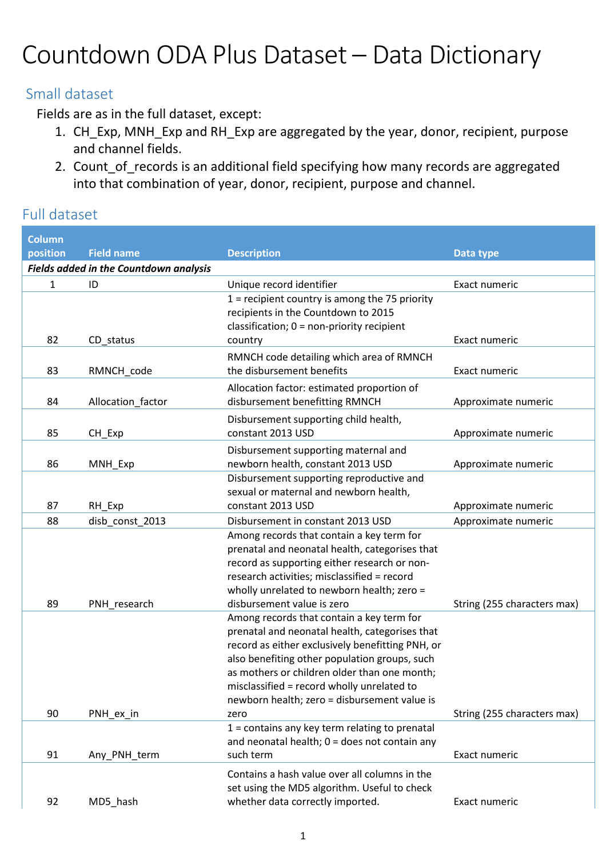## Countdown ODA Plus Dataset – Data Dictionary

## Small dataset

Fields are as in the full dataset, except:

- 1. CH Exp, MNH Exp and RH Exp are aggregated by the year, donor, recipient, purpose and channel fields.
- 2. Count\_of\_records is an additional field specifying how many records are aggregated into that combination of year, donor, recipient, purpose and channel.

## Full dataset

| <b>Column</b>                                 |                   |                                                                                               |                             |  |  |  |
|-----------------------------------------------|-------------------|-----------------------------------------------------------------------------------------------|-----------------------------|--|--|--|
| position                                      | <b>Field name</b> | <b>Description</b>                                                                            | Data type                   |  |  |  |
| <b>Fields added in the Countdown analysis</b> |                   |                                                                                               |                             |  |  |  |
| $\mathbf{1}$                                  | ID                | Unique record identifier                                                                      | Exact numeric               |  |  |  |
|                                               |                   | $1$ = recipient country is among the 75 priority                                              |                             |  |  |  |
|                                               |                   | recipients in the Countdown to 2015                                                           |                             |  |  |  |
|                                               |                   | classification; $0 = non-priority recipient$                                                  |                             |  |  |  |
| 82                                            | CD_status         | country                                                                                       | Exact numeric               |  |  |  |
|                                               |                   | RMNCH code detailing which area of RMNCH                                                      |                             |  |  |  |
| 83                                            | RMNCH_code        | the disbursement benefits                                                                     | Exact numeric               |  |  |  |
|                                               |                   | Allocation factor: estimated proportion of                                                    |                             |  |  |  |
| 84                                            | Allocation_factor | disbursement benefitting RMNCH                                                                | Approximate numeric         |  |  |  |
|                                               |                   | Disbursement supporting child health,                                                         |                             |  |  |  |
| 85                                            | CH_Exp            | constant 2013 USD                                                                             | Approximate numeric         |  |  |  |
|                                               |                   | Disbursement supporting maternal and                                                          |                             |  |  |  |
| 86                                            | MNH_Exp           | newborn health, constant 2013 USD                                                             | Approximate numeric         |  |  |  |
|                                               |                   | Disbursement supporting reproductive and                                                      |                             |  |  |  |
| 87                                            | RH_Exp            | sexual or maternal and newborn health,<br>constant 2013 USD                                   | Approximate numeric         |  |  |  |
| 88                                            | disb_const_2013   | Disbursement in constant 2013 USD                                                             | Approximate numeric         |  |  |  |
|                                               |                   | Among records that contain a key term for                                                     |                             |  |  |  |
|                                               |                   | prenatal and neonatal health, categorises that                                                |                             |  |  |  |
|                                               |                   | record as supporting either research or non-                                                  |                             |  |  |  |
|                                               |                   | research activities; misclassified = record                                                   |                             |  |  |  |
|                                               |                   | wholly unrelated to newborn health; zero =                                                    |                             |  |  |  |
| 89                                            | PNH_research      | disbursement value is zero                                                                    | String (255 characters max) |  |  |  |
|                                               |                   | Among records that contain a key term for                                                     |                             |  |  |  |
|                                               |                   | prenatal and neonatal health, categorises that                                                |                             |  |  |  |
|                                               |                   | record as either exclusively benefitting PNH, or                                              |                             |  |  |  |
|                                               |                   | also benefiting other population groups, such<br>as mothers or children older than one month; |                             |  |  |  |
|                                               |                   | misclassified = record wholly unrelated to                                                    |                             |  |  |  |
|                                               |                   | newborn health; zero = disbursement value is                                                  |                             |  |  |  |
| 90                                            | PNH_ex_in         | zero                                                                                          | String (255 characters max) |  |  |  |
|                                               |                   | $1 =$ contains any key term relating to prenatal                                              |                             |  |  |  |
|                                               |                   | and neonatal health; $0 =$ does not contain any                                               |                             |  |  |  |
| 91                                            | Any_PNH_term      | such term                                                                                     | Exact numeric               |  |  |  |
|                                               |                   | Contains a hash value over all columns in the                                                 |                             |  |  |  |
|                                               |                   | set using the MD5 algorithm. Useful to check                                                  |                             |  |  |  |
| 92                                            | MD5_hash          | whether data correctly imported.                                                              | Exact numeric               |  |  |  |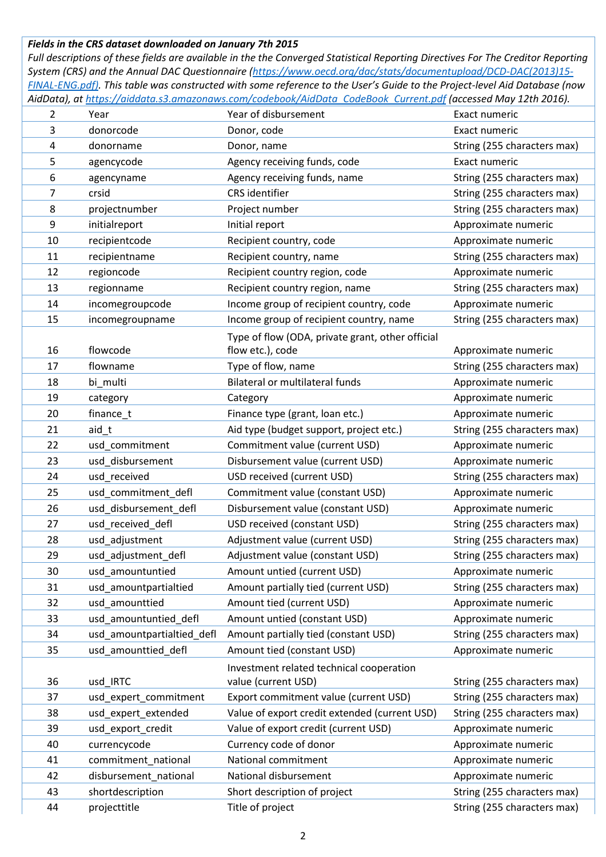## *Fields in the CRS dataset downloaded on January 7th 2015*

*Full descriptions of these fields are available in the the Converged Statistical Reporting Directives For The Creditor Reporting System (CRS) and the Annual DAC Questionnaire (https://www.oecd.org/dac/stats/documentupload/DCD-DAC(2013)15- FINAL-ENG.pdf). This table was constructed with some reference to the User's Guide to the Project-level Aid Database (now AidData), at https://aiddata.s3.amazonaws.com/codebook/AidData\_CodeBook\_Current.pdf (accessed May 12th 2016).* 

| $\overline{2}$          | Year                       | Year of disbursement                             | Exact numeric               |
|-------------------------|----------------------------|--------------------------------------------------|-----------------------------|
| 3                       | donorcode                  | Donor, code                                      | Exact numeric               |
| $\overline{\mathbf{4}}$ | donorname                  | Donor, name                                      | String (255 characters max) |
| 5                       | agencycode                 | Agency receiving funds, code                     | Exact numeric               |
| $\boldsymbol{6}$        | agencyname                 | Agency receiving funds, name                     | String (255 characters max) |
| $\overline{7}$          | crsid                      | CRS identifier                                   | String (255 characters max) |
| 8                       | projectnumber              | Project number                                   | String (255 characters max) |
| 9                       | initialreport              | Initial report                                   | Approximate numeric         |
| 10                      | recipientcode              | Recipient country, code                          | Approximate numeric         |
| 11                      | recipientname              | Recipient country, name                          | String (255 characters max) |
| 12                      | regioncode                 | Recipient country region, code                   | Approximate numeric         |
| 13                      | regionname                 | Recipient country region, name                   | String (255 characters max) |
| 14                      | incomegroupcode            | Income group of recipient country, code          | Approximate numeric         |
| 15                      | incomegroupname            | Income group of recipient country, name          | String (255 characters max) |
|                         |                            | Type of flow (ODA, private grant, other official |                             |
| 16                      | flowcode                   | flow etc.), code                                 | Approximate numeric         |
| 17                      | flowname                   | Type of flow, name                               | String (255 characters max) |
| 18                      | bi_multi                   | <b>Bilateral or multilateral funds</b>           | Approximate numeric         |
| 19                      | category                   | Category                                         | Approximate numeric         |
| 20                      | finance_t                  | Finance type (grant, loan etc.)                  | Approximate numeric         |
| 21                      | aid_t                      | Aid type (budget support, project etc.)          | String (255 characters max) |
| 22                      | usd_commitment             | Commitment value (current USD)                   | Approximate numeric         |
| 23                      | usd_disbursement           | Disbursement value (current USD)                 | Approximate numeric         |
| 24                      | usd_received               | USD received (current USD)                       | String (255 characters max) |
| 25                      | usd_commitment_defl        | Commitment value (constant USD)                  | Approximate numeric         |
| 26                      | usd_disbursement_defl      | Disbursement value (constant USD)                | Approximate numeric         |
| 27                      | usd_received_defl          | USD received (constant USD)                      | String (255 characters max) |
| 28                      | usd_adjustment             | Adjustment value (current USD)                   | String (255 characters max) |
| 29                      | usd_adjustment_defl        | Adjustment value (constant USD)                  | String (255 characters max) |
| 30                      | usd_amountuntied           | Amount untied (current USD)                      | Approximate numeric         |
| 31                      | usd_amountpartialtied      | Amount partially tied (current USD)              | String (255 characters max) |
| 32                      | usd amounttied             | Amount tied (current USD)                        | Approximate numeric         |
| 33                      | usd_amountuntied_defl      | Amount untied (constant USD)                     | Approximate numeric         |
| 34                      | usd_amountpartialtied_defl | Amount partially tied (constant USD)             | String (255 characters max) |
| 35                      | usd_amounttied_defl        | Amount tied (constant USD)                       | Approximate numeric         |
|                         |                            | Investment related technical cooperation         |                             |
| 36                      | usd_IRTC                   | value (current USD)                              | String (255 characters max) |
| 37                      | usd_expert_commitment      | Export commitment value (current USD)            | String (255 characters max) |
| 38                      | usd_expert_extended        | Value of export credit extended (current USD)    | String (255 characters max) |
| 39                      | usd_export_credit          | Value of export credit (current USD)             | Approximate numeric         |
| 40                      | currencycode               | Currency code of donor                           | Approximate numeric         |
| 41                      | commitment_national        | National commitment                              | Approximate numeric         |
| 42                      | disbursement_national      | National disbursement                            | Approximate numeric         |
| 43                      | shortdescription           | Short description of project                     | String (255 characters max) |
| 44                      | projecttitle               | Title of project                                 | String (255 characters max) |